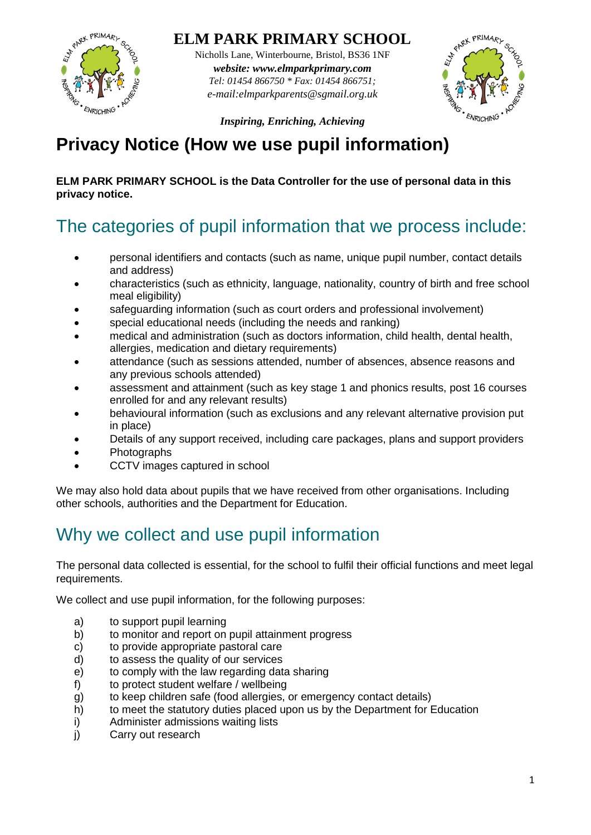

#### **ELM PARK PRIMARY SCHOOL**

Nicholls Lane, Winterbourne, Bristol, BS36 1NF *website: www.elmparkprimary.com Tel: 01454 866750 \* Fax: 01454 866751; e-mail:elmparkparents@sgmail.org.uk*



*Inspiring, Enriching, Achieving*

## **Privacy Notice (How we use pupil information)**

#### **ELM PARK PRIMARY SCHOOL is the Data Controller for the use of personal data in this privacy notice.**

# The categories of pupil information that we process include:

- personal identifiers and contacts (such as name, unique pupil number, contact details and address)
- characteristics (such as ethnicity, language, nationality, country of birth and free school meal eligibility)
- safeguarding information (such as court orders and professional involvement)
- special educational needs (including the needs and ranking)
- medical and administration (such as doctors information, child health, dental health, allergies, medication and dietary requirements)
- attendance (such as sessions attended, number of absences, absence reasons and any previous schools attended)
- assessment and attainment (such as key stage 1 and phonics results, post 16 courses enrolled for and any relevant results)
- behavioural information (such as exclusions and any relevant alternative provision put in place)
- Details of any support received, including care packages, plans and support providers
- Photographs
- CCTV images captured in school

We may also hold data about pupils that we have received from other organisations. Including other schools, authorities and the Department for Education.

# Why we collect and use pupil information

The personal data collected is essential, for the school to fulfil their official functions and meet legal requirements.

We collect and use pupil information, for the following purposes:

- a) to support pupil learning
- b) to monitor and report on pupil attainment progress
- c) to provide appropriate pastoral care
- d) to assess the quality of our services
- e) to comply with the law regarding data sharing
- f) to protect student welfare / wellbeing
- g) to keep children safe (food allergies, or emergency contact details)
- h) to meet the statutory duties placed upon us by the Department for Education
- i) Administer admissions waiting lists
- j) Carry out research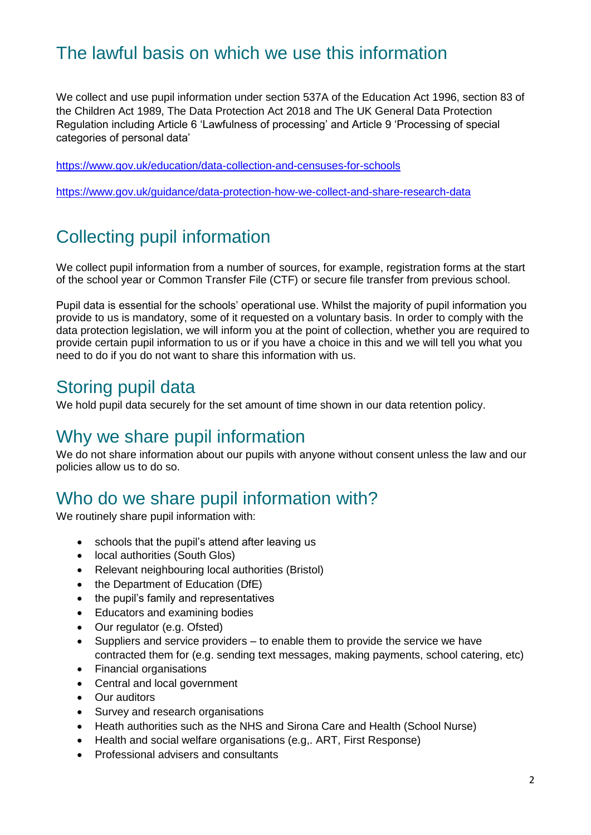# The lawful basis on which we use this information

We collect and use pupil information under section 537A of the Education Act 1996, section 83 of the Children Act 1989, The Data Protection Act 2018 and The UK General Data Protection Regulation including Article 6 'Lawfulness of processing' and Article 9 'Processing of special categories of personal data'

<https://www.gov.uk/education/data-collection-and-censuses-for-schools>

<https://www.gov.uk/guidance/data-protection-how-we-collect-and-share-research-data>

# Collecting pupil information

We collect pupil information from a number of sources, for example, registration forms at the start of the school year or Common Transfer File (CTF) or secure file transfer from previous school.

Pupil data is essential for the schools' operational use. Whilst the majority of pupil information you provide to us is mandatory, some of it requested on a voluntary basis. In order to comply with the data protection legislation, we will inform you at the point of collection, whether you are required to provide certain pupil information to us or if you have a choice in this and we will tell you what you need to do if you do not want to share this information with us.

### Storing pupil data

We hold pupil data securely for the set amount of time shown in our data retention policy.

### Why we share pupil information

We do not share information about our pupils with anyone without consent unless the law and our policies allow us to do so.

## Who do we share pupil information with?

We routinely share pupil information with:

- schools that the pupil's attend after leaving us
- local authorities (South Glos)
- Relevant neighbouring local authorities (Bristol)
- the Department of Education (DfE)
- the pupil's family and representatives
- Educators and examining bodies
- Our regulator (e.g. Ofsted)
- Suppliers and service providers to enable them to provide the service we have contracted them for (e.g. sending text messages, making payments, school catering, etc)
- Financial organisations
- Central and local government
- Our auditors
- Survey and research organisations
- Heath authorities such as the NHS and Sirona Care and Health (School Nurse)
- Health and social welfare organisations (e.g,. ART, First Response)
- Professional advisers and consultants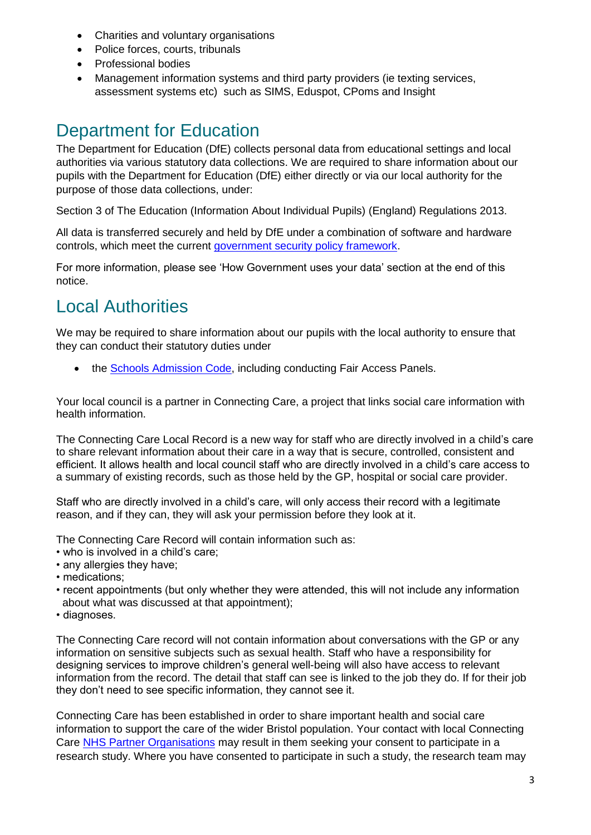- Charities and voluntary organisations
- Police forces, courts, tribunals
- Professional bodies
- Management information systems and third party providers (ie texting services, assessment systems etc) such as SIMS, Eduspot, CPoms and Insight

## Department for Education

The Department for Education (DfE) collects personal data from educational settings and local authorities via various statutory data collections. We are required to share information about our pupils with the Department for Education (DfE) either directly or via our local authority for the purpose of those data collections, under:

Section 3 of The Education (Information About Individual Pupils) (England) Regulations 2013.

All data is transferred securely and held by DfE under a combination of software and hardware controls, which meet the current [government security policy framework.](https://www.gov.uk/government/publications/security-policy-framework)

For more information, please see 'How Government uses your data' section at the end of this notice.

## Local Authorities

We may be required to share information about our pupils with the local authority to ensure that they can conduct their statutory duties under

• the [Schools Admission Code,](https://www.gov.uk/government/publications/school-admissions-code--2) including conducting Fair Access Panels.

Your local council is a partner in Connecting Care, a project that links social care information with health information.

The Connecting Care Local Record is a new way for staff who are directly involved in a child's care to share relevant information about their care in a way that is secure, controlled, consistent and efficient. It allows health and local council staff who are directly involved in a child's care access to a summary of existing records, such as those held by the GP, hospital or social care provider.

Staff who are directly involved in a child's care, will only access their record with a legitimate reason, and if they can, they will ask your permission before they look at it.

The Connecting Care Record will contain information such as:

- who is involved in a child's care;
- any allergies they have;
- medications;
- recent appointments (but only whether they were attended, this will not include any information about what was discussed at that appointment);
- diagnoses.

The Connecting Care record will not contain information about conversations with the GP or any information on sensitive subjects such as sexual health. Staff who have a responsibility for designing services to improve children's general well-being will also have access to relevant information from the record. The detail that staff can see is linked to the job they do. If for their job they don't need to see specific information, they cannot see it.

Connecting Care has been established in order to share important health and social care information to support the care of the wider Bristol population. Your contact with local Connecting Care [NHS Partner Organisations](https://www.connectingcarebnssg.co.uk/find-out-more/which-organisations-are-a-part-of-connecting-care/) may result in them seeking your consent to participate in a research study. Where you have consented to participate in such a study, the research team may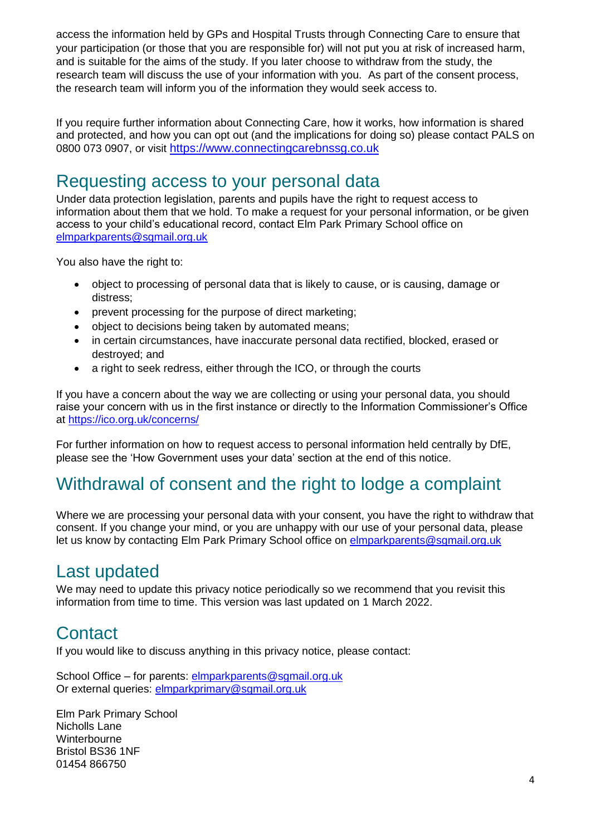access the information held by GPs and Hospital Trusts through Connecting Care to ensure that your participation (or those that you are responsible for) will not put you at risk of increased harm, and is suitable for the aims of the study. If you later choose to withdraw from the study, the research team will discuss the use of your information with you. As part of the consent process, the research team will inform you of the information they would seek access to.

If you require further information about Connecting Care, how it works, how information is shared and protected, and how you can opt out (and the implications for doing so) please contact PALS on 0800 073 0907, or visit [https://www.connectingcarebnssg.co.uk](https://www.connectingcarebnssg.co.uk/)

## Requesting access to your personal data

Under data protection legislation, parents and pupils have the right to request access to information about them that we hold. To make a request for your personal information, or be given access to your child's educational record, contact Elm Park Primary School office on [elmparkparents@sgmail.org.uk](mailto:elmparkparents@sgmail.org.uk)

You also have the right to:

- object to processing of personal data that is likely to cause, or is causing, damage or distress;
- prevent processing for the purpose of direct marketing;
- object to decisions being taken by automated means;
- in certain circumstances, have inaccurate personal data rectified, blocked, erased or destroyed; and
- a right to seek redress, either through the ICO, or through the courts

If you have a concern about the way we are collecting or using your personal data, you should raise your concern with us in the first instance or directly to the Information Commissioner's Office at<https://ico.org.uk/concerns/>

For further information on how to request access to personal information held centrally by DfE, please see the 'How Government uses your data' section at the end of this notice.

## Withdrawal of consent and the right to lodge a complaint

Where we are processing your personal data with your consent, you have the right to withdraw that consent. If you change your mind, or you are unhappy with our use of your personal data, please let us know by contacting Elm Park Primary School office on [elmparkparents@sgmail.org.uk](mailto:elmparkparents@sgmail.org.uk)

### Last updated

We may need to update this privacy notice periodically so we recommend that you revisit this information from time to time. This version was last updated on 1 March 2022.

### **Contact**

If you would like to discuss anything in this privacy notice, please contact:

School Office – for parents: [elmparkparents@sgmail.org.uk](mailto:elmparkparents@sgmail.org.uk) Or external queries: [elmparkprimary@sgmail.org.uk](mailto:elmparkprimary@sgmail.org.uk)

Elm Park Primary School Nicholls Lane **Winterbourne** Bristol BS36 1NF 01454 866750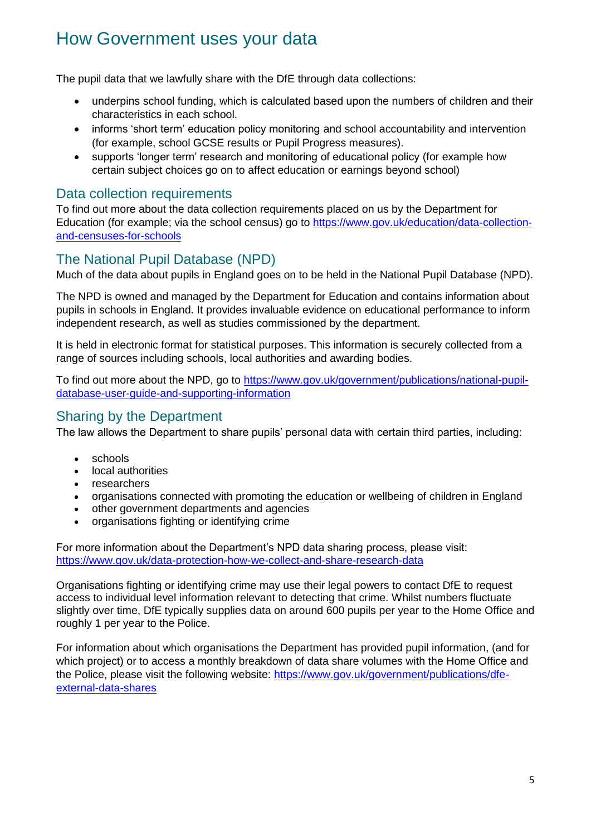## How Government uses your data

The pupil data that we lawfully share with the DfE through data collections:

- underpins school funding, which is calculated based upon the numbers of children and their characteristics in each school.
- informs 'short term' education policy monitoring and school accountability and intervention (for example, school GCSE results or Pupil Progress measures).
- supports 'longer term' research and monitoring of educational policy (for example how certain subject choices go on to affect education or earnings beyond school)

#### Data collection requirements

To find out more about the data collection requirements placed on us by the Department for Education (for example; via the school census) go to [https://www.gov.uk/education/data-collection](https://www.gov.uk/education/data-collection-and-censuses-for-schools)[and-censuses-for-schools](https://www.gov.uk/education/data-collection-and-censuses-for-schools)

#### The National Pupil Database (NPD)

Much of the data about pupils in England goes on to be held in the National Pupil Database (NPD).

The NPD is owned and managed by the Department for Education and contains information about pupils in schools in England. It provides invaluable evidence on educational performance to inform independent research, as well as studies commissioned by the department.

It is held in electronic format for statistical purposes. This information is securely collected from a range of sources including schools, local authorities and awarding bodies.

To find out more about the NPD, go to [https://www.gov.uk/government/publications/national-pupil](https://www.gov.uk/government/publications/national-pupil-database-user-guide-and-supporting-information)[database-user-guide-and-supporting-information](https://www.gov.uk/government/publications/national-pupil-database-user-guide-and-supporting-information)

#### Sharing by the Department

The law allows the Department to share pupils' personal data with certain third parties, including:

- schools
- local authorities
- 
- researchers<br>• organisations organisations connected with promoting the education or wellbeing of children in England
- other government departments and agencies
- organisations fighting or identifying crime

For more information about the Department's NPD data sharing process, please visit: <https://www.gov.uk/data-protection-how-we-collect-and-share-research-data>

Organisations fighting or identifying crime may use their legal powers to contact DfE to request access to individual level information relevant to detecting that crime. Whilst numbers fluctuate slightly over time, DfE typically supplies data on around 600 pupils per year to the Home Office and roughly 1 per year to the Police.

For information about which organisations the Department has provided pupil information, (and for which project) or to access a monthly breakdown of data share volumes with the Home Office and the Police, please visit the following website: [https://www.gov.uk/government/publications/dfe](https://www.gov.uk/government/publications/dfe-external-data-shares)[external-data-shares](https://www.gov.uk/government/publications/dfe-external-data-shares)